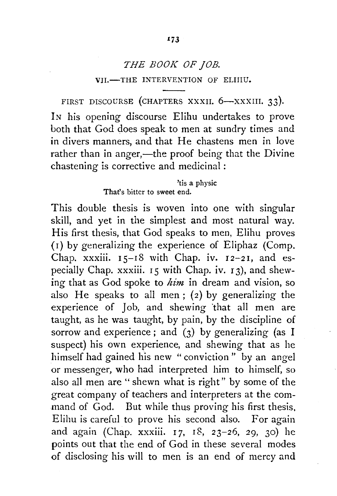# *THE BOOK OF JOB.*  VII.-THE INTERVENTION OF ELIIIU.

FIRST DISCOURSE (CHAPTERS XXXII.  $6-xxx$ KIII. 33).

IN his opening discourse Elihu undertakes to prove both that God does speak to men at sundry times and in divers manners, and that He chastens men in love rather than in anger,—the proof being that the Divine chastening is corrective and medicinal :

> 'tis a physic That's bitter to sweet end.

This double thesis is woven into one with singular skill, and yet in the simplest and most natural way. His first thesis, that God speaks to men, Elihu proves (1) by generalizing the experience of Eliphaz (Comp. Chap. xxxiii.  $15-18$  with Chap. iv.  $12-21$ , and especially Chap. xxxiii. 15 with Chap. iv. 13), and shewing that as God spoke to *him* in dream and vision, so also He speaks to all men; (2) by generalizing the experience of Job, and shewing "that all men are taught, as he was taught, by pain, by the discipline of sorrow and experience ; and (3) by generalizing (as I suspect) his own experience, and shewing that as he himself had gained his new " conviction " by an angel or messenger, who had interpreted him to himself, so also all men are " shewn what is right" by some of the great company of teachers and interpreters at the command of God. But while thus proving his first thesis, Elihu is careful to prove his second also. For again and again (Chap. xxxiii. 17, 18, *23-26, 29,* 30) he points out that the end of God in these several modes of disclosing his will to men is an end of mercy and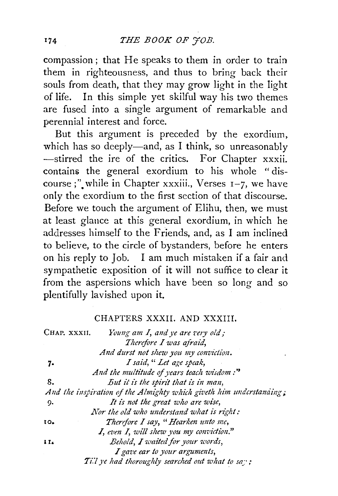compassion; that He speaks to them in order to train them in righteousness, and thus to bring back their souls from death, that they may grow light in the light of life. In this simple yet skilful way his two themes are fused into a single argument of remarkable and perennial interest and force.

But this argument is preceded by the exordium, which has so deeply-and, as I think, so unreasonably -stirred the ire of the critics. For Chapter xxxii. contains the general exordium to his whole "discourse;" while in Chapter xxxiii., Verses  $I-7$ , we have only the exordium to the first section of that discourse. Before we touch the argument of Elihu, then, we must at least glance at this general exordium, in which he addresses himself to the Friends, and, as I am inclined to believe, to the circle of bystanders, before he enters on his reply to Job. I am much mistaken if a fair and sympathetic exposition of it will not suffice to clear it from the aspersions which have been so long and so plentifully lavished upon it.

#### CHAPTERS XXXII. AND XXXIII.

| Chap. xxxii. | Young am I, and ye are very old;                                    |
|--------------|---------------------------------------------------------------------|
|              | Therefore I was afraid,                                             |
|              | And durst not shew you my conviction.                               |
| 7.           | I said, "Let age speak,                                             |
|              | And the multitude of years teach wisdom:"                           |
| 8.           | But it is the spirit that is in man,                                |
|              | And the inspiration of the Almighty which giveth him understanding; |
| 9,           | It is not the great who are wise,                                   |
|              | Nor the old who understand what is right:                           |
| 10.          | Therefore I say, "Hearken unto me,                                  |
|              | $I$ , even $I$ , will shew you my conviction."                      |
| $\mathbf{H}$ | Behold, I waited for your words,                                    |
|              | I gave ear to your arguments,                                       |
|              | Till ye had thoroughly searched out what to say;                    |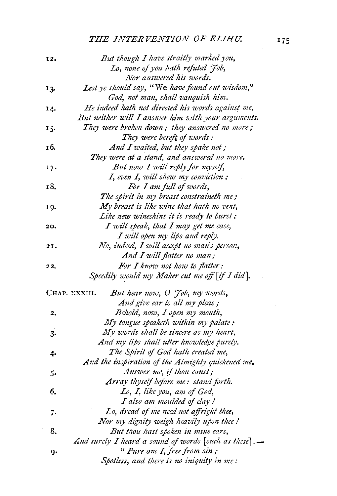### **THE INTERVENTION OF ELIHU.**

| 12. | But though I have straitly marked you,               |
|-----|------------------------------------------------------|
|     | Lo, none of you hath refuted Job,                    |
|     | Nor answered his words.                              |
| 13. | Lest ye should say, "We have found out wisdom,"      |
|     | God, not man, shall vanquish him.                    |
| 14. | He indeed hath not directed his words against me,    |
|     | But neither will I answer him with your arguments.   |
| 15. | They were broken down; they answered no more;        |
|     | They were bereft of words:                           |
| 16. | And I waited, but they spake not;                    |
|     | They were at a stand, and answered no more.          |
| 17. | But now I will reply for myself,                     |
|     | I, even I, will shew my conviction;                  |
| 18. | For I am full of words,                              |
|     | The spirit in my breast constraineth me;             |
| 19. | My breast is like wine that hath no vent,            |
|     | Like new wineskins it is ready to burst:             |
| 20. | I will speak, that I may get me ease,                |
|     | I will open my lips and reply.                       |
| 21. | No, indeed, I will accept no man's person,           |
|     | And I will flatter no man;                           |
| 22, | For I know not how to flatter:                       |
|     | Speedily would my Maker cut me off [if I did].       |
|     | But hear now, O Job, my words,<br>CHAP. XXXIII.      |
|     | And give ear to all my pleas;                        |
| 2.  | Behold, now, I open my mouth,                        |
|     | My tongue speaketh within my palate:                 |
| 3.  | My words shall be sincere as my heart,               |
|     | And my lips shall utter knowledge purely.            |
| 4.  | The Spirit of God hath created me,                   |
|     | And the inspiration of the Almighty quickened me.    |
| 5.  | Answer me, if thou canst;                            |
|     | Array thyself before me: stand forth.                |
| 6.  | Lo, I, like you, am of God,                          |
|     | I also am moulded of clay !                          |
| 7.  | Lo, dread of me need not affright thee,              |
|     | Nor my dignity weigh heavily upon thee!              |
| 8.  | But thou hast spoken in mine ears,                   |
|     | And surely I heard a sound of words [such as these]. |
| g٠  | "Pure am I, free from sin;                           |
|     | Spotless, and there is no iniquity in me:            |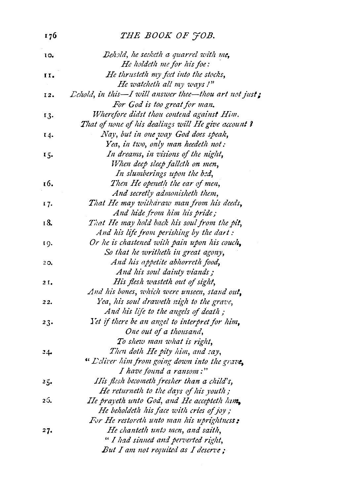| 176 | THE BOOK OF JOB.                                                               |
|-----|--------------------------------------------------------------------------------|
| 10. | Behold, he seeketh a quarrel with me,                                          |
|     | He holdeth me for his foe:                                                     |
| II. | He thrusteth my feet into the stocks,                                          |
|     | He watcheth all my ways !"                                                     |
| 12. | $\mathcal{L}ehold$ , in this-I will answer thee-thou art not just;             |
|     | For God is too great for man.                                                  |
| 13. | Wherefore didst thou contend against Him.                                      |
|     | That of none of his dealings will He give account ?                            |
| 14. | Nay, but in one way God does speak,                                            |
|     | Yea, in two, only man heedeth not:                                             |
| 15. | In dreams, in visions of the night,                                            |
|     | When deep sleep fallcth on men,                                                |
|     | In slumberings upon the bed,                                                   |
| 16. | Then He openeth the ear of men,                                                |
|     | And secretly admonisheth them,                                                 |
| 17. | That He may witharaw man from his deeds,                                       |
|     | And hide from him his pride;                                                   |
| 18. | That He may hold back his soul from the pit,                                   |
|     | And his life from perishing by the dart:                                       |
| 19. | Or he is chastened with pain upon his couch,                                   |
|     | So that he writheth in great agony,                                            |
| 20, | And his appetite abhorreth food,                                               |
|     | And his soul dainty viands;                                                    |
| 2I. | His flesh wasteth out of sight,                                                |
|     | And his bones, which were unseen, stand out,                                   |
| 22. | Yea, his soul draweth nigh to the grave,                                       |
|     | And his life to the angels of death;                                           |
| 23. | Yet if there be an angel to interpret for him,                                 |
|     | One out of a thousand,                                                         |
|     | To shew man what is right,                                                     |
| 24. | Then doth He pity him, and say,                                                |
|     | " Deliver him from going down into the grave,                                  |
|     | I have found a ransom:"                                                        |
| 25. | IIis flesh becometh fresher than a child's,                                    |
|     | He returneth to the days of his youth;                                         |
| 26. | He prayeth unto God, and He accepteth hum,                                     |
|     | He beholdeth his face with cries of joy;                                       |
|     | For He restoreth unto man his uprightness:<br>He chanteth unto men, and saith, |
| 27. | " I had sinned and perverted right,                                            |
|     |                                                                                |
|     | But I am not requited as I deserve;                                            |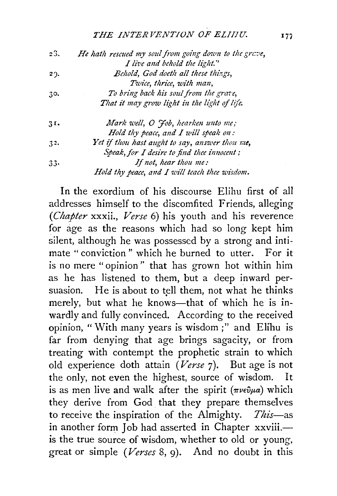#### *THE INTER VENT/ON OF ELIIIU. I7i*

| 23.         | He hath rescued my soul from going down to the grave, |
|-------------|-------------------------------------------------------|
|             | I live and behold the light."                         |
| $2^{\circ}$ | Behold, God doeth all these things,                   |
|             | Twice, thrice, with man,                              |
| 30.         | To bring back his soul from the grave,                |
|             | That it may grow light in the light of life.          |
| 31.         | Mark well, O Job, hearken unto me;                    |
|             | Hold thy peace, and $I$ will speak on:                |
| 32.         | Yet if thou hast aught to say, answer thou me,        |
|             | Speak, for I desire to find thee innocent;            |
| 33.         | If not, hear thou me:                                 |
|             | Hold thy peace, and I will teach thee wisdom.         |
|             |                                                       |

In the exordium of his discourse Elihu first of all addresses himself to the discomfited Friends, alleging *(Chapter* xxxii., *Verse* 6) his youth and his reverence for age as the reasons which had so long kept him silent, although he was possessed by a strong and intimate "conviction" which he burned to utter. For it is no mere "opinion'' that has grown hot within him as he has listened to them, but a deep inward persuasion. He is about to tell them, not what he thinks merely, but what he knows-that of which he is inwardly and fully convinced. According to the received opinion, "With many years is wisdom;" and Elihu is far from denying that age brings sagacity, or from treating with contempt the prophetic strain to which old experience doth attain *(Verse* 7). But age is not the only, not even the highest, source of wisdom. It is as men live and walk after the spirit  $(\pi \nu \epsilon \hat{\nu} \mu a)$  which they derive from God that they prepare themselves to receive the inspiration of the Almighty. *This-as*  in another form Job had asserted in Chapter xxviii.is the true source of wisdom, whether to old or young, great or simple *(Verses* 8, 9). And no doubt in this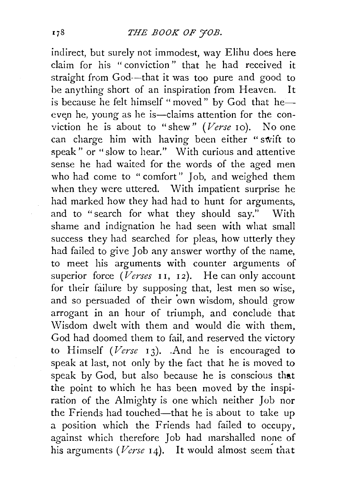indirect, but surely not immodest, way Elihu does here claim for his "conviction" that he had received it straight from God--that it was too pure and good to be anything short of an inspiration from Heaven. It is because he felt himself "moved" by God that heeven he, young as he is-claims attention for the conviction he is about to "shew" (Verse 10). No one can charge him with having been either "swift to speak" or "slow to hear." With curious and attentive sense he had waited for the words of the aged men who had come to " comfort" Job, and weighed them when they were uttered. With impatient surprise he had marked how they had had to hunt for arguments, and to "search for what they should say." With shame and indignation he had seen with what small success they had searched for pleas, how utterly they had failed to give Job any answer worthy of the name, to meet his arguments with counter arguments of superior force  $(Verses$  **II**, **12**). He can only account for their failure by supposing that, lest men so wise, and so persuaded of their 'own wisdom, should grow arrogant in an hour of triumph, and conclude that Wisdom dwelt with them and would die with them. God had doomed them to fail, and reserved the victory to Himself *(Verse* 13). .And he is encouraged to speak at last, not only by the fact that he is moved to speak by God, but also because he is conscious that the point to which he has been moved by the inspiration of the Almighty is one which neither Job nor the Friends had touched-that he is about to take up a position which the Friends had failed to occupy, against which therefore Job had marshalled none of his arguments *(Verse*  $14$ ). It would almost seem that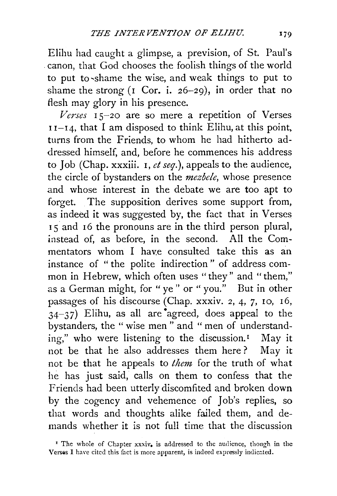Elihu had caught a glimpse, a prevision, of St. Paul's . canon, that God chooses the foolish things of the world to put to ~shame the wise, and weak things to put to shame the strong (1 Cor. i. *26-29),* in order that no flesh may glory in his presence.

*Verses* l *5-20* are so mere a repetition of Verses  $11-14$ , that I am disposed to think Elihu, at this point, turns from the Friends, to whom he had hitherto addressed himself, and, before he commences his address to Job (Chap. xxxiii. l, *et seq.),* appeals to the audience, the circle of bystanders on the *mezbele,* whose presence and whose interest in the debate we are too apt to forget. The supposition derives some support from, as indeed it was suggested by, the fact that in Verses <sup>I</sup>5 and 16 the pronouns are in the third person plural, instead of, as before, in the second. All the Commentators whom I have consulted take this as an instance of " the polite indirection" of address common in Hebrew, which often uses "they" and "them," as a German might, for "ye" or "you." But in other passages of his discourse (Chap. xxxiv. *2,* 4, 7, lO, 16,  $34-37$ ) Elihu, as all are agreed, does appeal to the bystanders, the " wise men " and " men of understanding," who were listening to the discussion.<sup>1</sup> May it not be that he also addresses them here ? May it not be that he appeals to *them* for the truth of what he has just said, calls on them to confess that the Friends had been utterly discomfited and broken down by the cogency and vehemence of Job's replies, so that words and thoughts alike failed them, and demands whether it is not full time that the discussion

<sup>&</sup>lt;sup>I</sup> The whole of Chapter xxxiv, is addressed to the audience, though in the Verses I have cited this fact is more apparent, is indeed expressly indicated.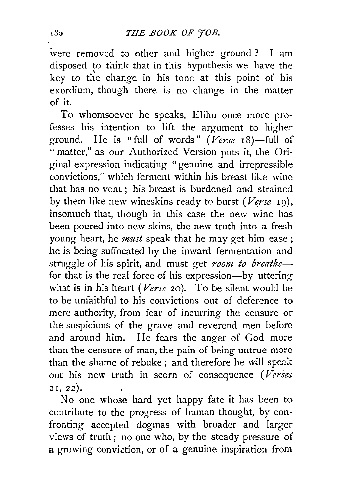were removed to other and higher ground ? I am disposed to think that in this hypothesis we have the key to the change in his tone at this point of his exordium, though there is no change in the matter of it.

To whomsoever he speaks, Elihu once more pro· fesses his intention to lift the argument to higher ground. He is "full of words" *(Verse* 18)-full of " matter," as our Authorized Version puts it, the Original expression indicating "genuine and irrepressible convictions," which ferment within his breast like wine that has no vent ; his breast is burdened and strained by them like new wineskins ready to burst ( $Verse$  19), insomuch that, though in this case the new wine has been poured into new skins, the new truth into a fresh young heart, he *must* speak that he may get him ease ; he is being suffocated by the inward fermentation and struggle of his spirit, and must get *room to breathe*for that is the real force of his expression-by uttering what is in his heart *(Verse* 20). To be silent would be to be unfaithful to his convictions out of deference to mere authority, from fear of incurring the censure or the suspicions of the grave and reverend men before and around him. He fears the anger of God more than the censure of man, the pain of being untrue more than the shame of rebuke ; and therefore he will speak out his new truth in scorn of consequence *(Verses*  2 I, 22).

No one whose hard yet happy fate it has been to contribute to the progress of human thought, by confronting accepted dogmas with broader and larger views of truth ; no one who, by the steady pressure of a growing conviction, or of a genuine inspiration from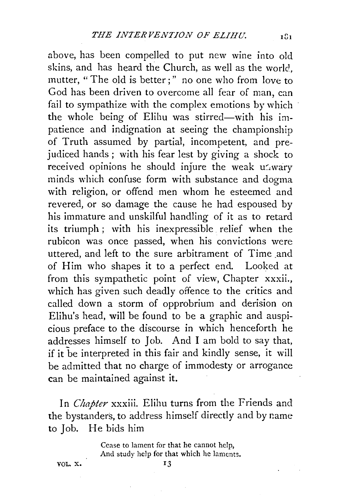above, has been compelled to put new wine into old skins, and has heard the Church, as well as the world, mutter, "The old is better;" no one who from love to God has been driven to overcome all fear of man, can fail to sympathize with the complex emotions by which the whole being of Elihu was stirred—with his impatience and indignation at seeing the championship of Truth assumed by partial, incompetent, and prejudiced hands ; with his fear lest by giving a shock to received opinions he should injure the weak uswary minds which confuse form with substance and dogma with religion, or offend men whom he esteemed and revered, or so damage the cause he had espoused by his immature and unskilful handling of it as to retard its triumph ; with his inexpressible relief when the rubicon was once passed, when his convictions were uttered, and left to the sure arbitrament of Time and of Him who shapes it to a perfect end. Looked at from this sympathetic point of view, Chapter xxxii., which has given such deadly offence to the critics and called down a storm of opprobrium and derision on Elihu's head, will be found to be a graphic and auspicious preface to the discourse in which henceforth he addresses himself to Job. And I am bold to say that, if it be interpreted in this fair and kindly sense, it will be admitted that no charge of immodesty or arrogance can be maintained against it.

In *Chapter* xxxiii. Elihu turns from the Friends and the bystanders, to address himself directly and by name to Job. He bids him

> Cease to lament for that he cannot help, And study help for that which he laments.

VOL. X.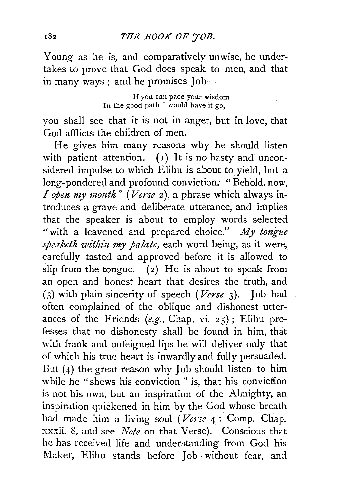Young as he is, and comparatively unwise, he undertakes to prove that God does speak to men, and that in many ways; and he promises Job-

> If you can pace your wisdom In the good path I would have it go.

you shall see that it is not in anger, but in love, that God afflicts the children of men.

He gives him many reasons why he should listen with patient attention.  $(1)$  It is no hasty and unconsidered impulse to which Elihu is about to yield, but a long-pondered and profound conviction. " Behold, now, *I open my mouth*" (*Verse 2*), a phrase which always introduces a grave and deliberate utterance, and implies that the speaker is about to employ words selected "with a leavened and prepared choice." *My tongue*  speaketh within my palate, each word being, as it were, carefully tasted and approved before it is allowed to slip from the tongue. (2) He is about to speak from an open and honest heart that desires the truth, and (3) with plain sincerity of speech *(Verse* 3). Joh had often complained of the oblique and dishonest utterances of the Friends *(e.g.,* Chap. vi. 25) ; Elihu professes that no dishonesty shall be found in him, that with frank and unfeigned lips he will deliver only that of which his true heart is inwardly and fully persuaded. But  $(4)$  the great reason why Job should listen to him while he "shews his conviction" is, that his conviction is not his own, but an inspiration of the Almighty, an inspiration quickened in him by the God whose breath had made him a living soul *(Verse* 4 : Comp. Chap. xxxii. 8, and see *Note* on that Verse). Conscious that he has received life and understanding from God his Maker, Elihu stands before Job· without fear, and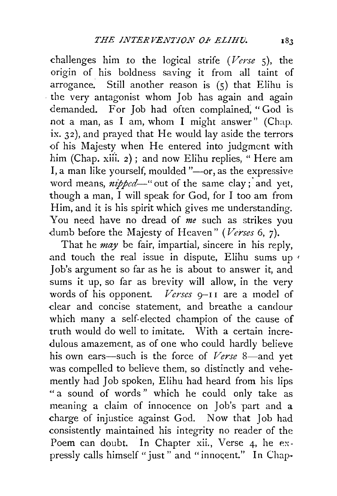challenges him .to the logical strife *(Verse* 5), the origin of his boldness saving it from all taint of arrogance. Still another reason is  $(5)$  that Elihu is · the very antagonist whom Job has again and again demanded. For Job had often complained. "God is not a man, as I am, whom I might answer" (Chap. ix. 32), and prayed that He would lay aside the terrors of his Majesty when He entered into judgment with him (Chap. xiii. 2); and now Elihu replies, "Here am I, a man like yourself, moulded "-or, as the expressive word means, *nipped*—" out of the same clay; and yet, though a man, I will speak for God, for I too am from Him, and it is his spirit which gives me understanding. You need have no dread of *me* such as strikes you dumb before the Majesty of Heaven" (Verses 6, 7).

That he *may* be fair, impartial, sincere in his reply, and touch the real issue in dispute, Elihu sums up *<sup>1</sup>* Job's argument so far as he is about to answer it, and sums it up, so far as brevity will allow, in the very words of his opponent. *Verses* 9-11 are a model of dear and concise statement, and breathe a candour which many a self-elected champion of the cause of truth would do well to imitate. With a certain incredulous amazement, as of one who could hardly believe his own ears-such is the force of *Verse* 8-and yet was compelled to believe them, so distinctly and vehemently had Job spoken, Elihu had heard from his lips " a sound of words " which he could only take as meaning a claim of innocence on Job's part and a charge of injustice against God. Now that Job had consistently maintained his integrity no reader of the Poem can doubt. In Chapter xii., Verse 4, he expressly calls himself "just" and "innocent." In Chap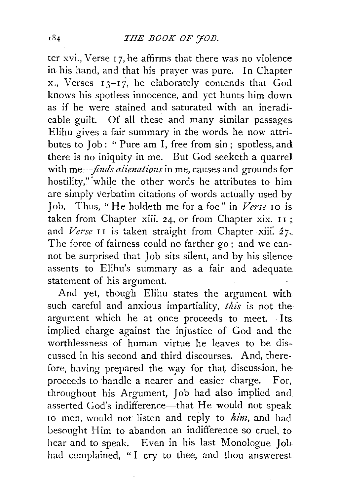ter xvi., Verse 17, he affirms that there was no violence in his hand, and that his prayer was pure. In Chapter x ., Verses I 3-1 *i,* he elaborately contends that God knows his spotless innocence, and yet hunts him down. as if he were stained and saturated with an ineradicable guilt. Of all these and many similar passages Elihu gives a fair summary in the words he now attributes to Job: " Pure am I, free from sin; spotless, and there is no iniquity in me. But God seeketh a quarrel with me—*finds alienations* in me, causes and grounds for hostility," while the other words he attributes to him are simply verbatim citations of words actually used by Job. Thus, "He holdeth me for a foe" in *Verse* 10 is taken from Chapter xiii. 24, or from Chapter xix.  $11$ ; and *Verse* II is taken straight from Chapter xiii. 27. The force of fairness could no farther go; and we cannot be surprised that Job sits silent, and by his silence assents to Elihu's summary as a fair and adequate: statement of his argument.

And yet, though Elihu states the argument with such careful and anxious impartiality, *this* is not the· argument which he at once proceeds to meet. Its. implied charge against the injustice of God and the worthlessness of human virtue he leaves to be discussed in his second and third discourses. And, therefore, having prepared the way for that discussion, heproceeds to handle a nearer and easier charge. For, throughout his Argument, Job had also implied and asserted God's indifference-that He would not speak to men, would not listen and reply to  $him$ , and had besought Him to abandon an indifference so cruel, to hear and to speak. Even in his last Monologue Job had complained, "I cry to thee, and thou answerest.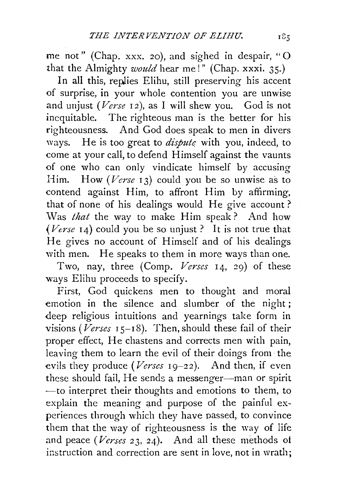me not" (Chap. xxx. 20), and sighed in despair, "O that the Almighty *would* hear me!" (Chap. xxxi. 35.)

In all this, replies Elihu, still preserving his accent of surprise, in your whole contention you are unwise and unjust *(Verse* 12 ), as I will shew you. God is not inequitable. The righteous man is the better for his righteousness. And God does speak to men in divers ways. He is too great to *disputq* with you, indeed, to come at your call, to defend Himself against the vaunts of one who can only vindicate himself by accusing Him. How *(Verse* 13) could you be so unwise as to contend against Him, to affront Him by affirming, that of none of his dealings would He give account? Was *that* the way to make Him speak ? And how *(Verse* 14) could you be so unjust? It is not true that He gives no account of Himself and of his dealings with men. He speaks to them in more ways than one.

Two, nay, three (Comp. *Verses* 14, 29) of these ways Elihu proceeds to specify.

First, God quickens men to thought and moral emotion in the silence and slumber of the night; deep religious intuitions and yearnings take form in visions *(Verses* 15-18). Then, should these fail of their proper effect, He chastens and corrects men with pain, leaving them to learn the evil of their doings from the evils they produce *(Verses* 19-22). And then, if even these should fail, He sends a messenger-man or spirit -to interpret their thoughts and emotions to them, to explain the meaning and purpose of the painful experiences through which they have passed, to convince them that the way of righteousness is the way of life and peace *(Verses* 23, 24). And all these methods ot instruction and correction are sent in love, not in wrath;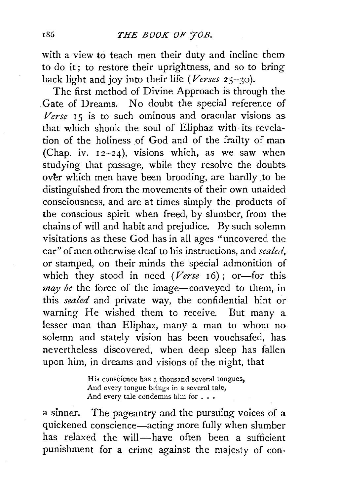with a view to teach men their duty and incline them to do it; to restore their uprightness, and so to bring back light and joy into their life *(Verses* 25--30).

The first method of Divine Approach is through the Gate of Dreams. No doubt the special reference of Verse 15 is to such ominous and oracular visions as that which shook the soul of Eliphaz with its revelation of the holiness of God and of the frailty of man (Chap. iv.  $12-24$ ), visions which, as we saw when studying that passage, while they resolve the doubts over which men have been brooding, are hardly to be distinguished from the movements of their own unaided consciousness, and are at times simply the products of the conscious spirit when freed, by slumber, from the chains of will and habit and prejudice. By such solemn visitations as these God has in all ages "uncovered the ear" of men otherwise deaf to his instructions, and *sealed,*  or stamped, on their minds the special admonition of which they stood in need *(Verse* 16); or—for this *may be* the force of the image-conveyed to them, in this *sealed* and private way, the confidential hint or' warning He wished them to receive. But many a lesser man than Eliphaz, many a man to whom no solemn and stately vision has been vouchsafed, has nevertheless discovered, when deep sleep has fallen upon him, in dreams and visions of the night, that

> His conscience has a thousand several tongues, And every tongue brings in a several tale, And every tale condemns him for  $\ldots$

a sinner. The pageantry and the pursuing voices of a quickened conscience-acting more fully when slumber has relaxed the will-have often been a sufficient punishment for a crime against the majesty of con-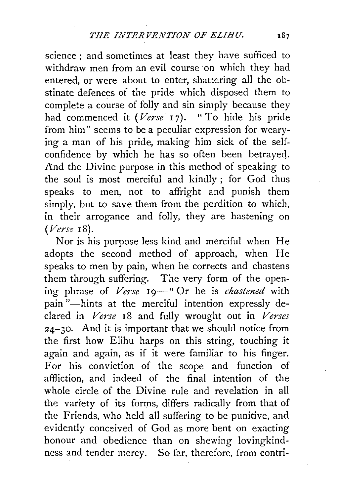science ; and sometimes at least they have sufficed to withdraw men from an evil course on which they had entered, or were about to enter, shattering all the obstinate defences of the pride which disposed them to complete a course of folly and sin simply because they had commenced it (Verse 17). " To hide his pride from him" seems to be a peculiar expression for wearying a man of his pride, making him sick of the selfconfidence by which he has so often been betrayed. And the Divine purpose in this method of speaking to the soul is most merciful and kindly ; for God thus speaks to men, not to affright and punish them simply. but to save them from the perdition to which, in their arrogance and folly, they are hastening on *(Verse* 18).

Nor is his purpose less kind and merciful when He adopts the second method of approach, when He speaks to men by pain, when he corrects and chastens them through suffering. The very form of the opening phrase of *Verse* 19-" Or he is *chastened* with pain "-hints at the merciful intention expressly declared in *Verse* 18 and fully wrought out in *Verses*  24-30. And it is important that we should notice from the first how Elihu harps on this string, touching it again and again, as if it were familiar to his finger. For his conviction of the scope and function of affliction, and indeed of the final intention of the whole circle of the Divine rule and revelation in all the variety of its forms, differs radically from that of the Friends, who held all suffering to be punitive, and evidently conceived of God as more bent on exacting honour and obedience than on shewing lovingkindness and tender mercy. So far, therefore, from contri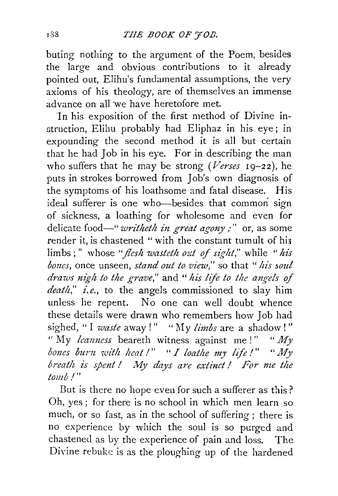buting nothing to the argument of the Poem, besides the large and obvious contributions to it already pointed out, Elihu's fundamental assumptions, the very axioms of his theology, are of themselves an immense advance on all 'we have heretofore met.

In his exposition of the first method of Divine instruction, Elihu probably had Eliphaz in his eye ; in expounding the second method it is all but certain that he had Job in his eye. For in describing the man who suffers that he may be strong *(Verses* 19-22), he puts in strokes borrowed from Job's own diagnosis of the symptoms of his loathsome and fatal disease. His ideal sufferer is one who-besides that common sign of sickness, a loathing for wholesome and even for delicate food—"*writheth in great agony*;" or, as some render it, is chastened "with the constant tumult of his limbs;" whose *"flesh wasteth ozd* of *sight,"* while *"his bones,* once unseen, *stand out to view,"* so that *"his soul draws nigh to the grave,"* and *"his life to the ang·e!s of death,'' i. e.,* to the angels commissioned to slay him unless he repent. No one can well doubt whence these details were drawn who remembers how Job had sighed, "I *waste* away!" "My *limbs* are a shadow!" " My *leanness* beareth witness against me !" " My *bones burn with heat!" "I loathe my life!" "My breath is spent! My days are extinct! For me the tomb I"* 

But is there no hope even for such a sufferer as this? Oh, yes ; for there is no school in which men learn so much, or so fast, as in the school of suffering; there is no experience by which the soul is so purged and chastened as by the experience of pain and loss. The Divine rebuke is as the ploughing up of the hardened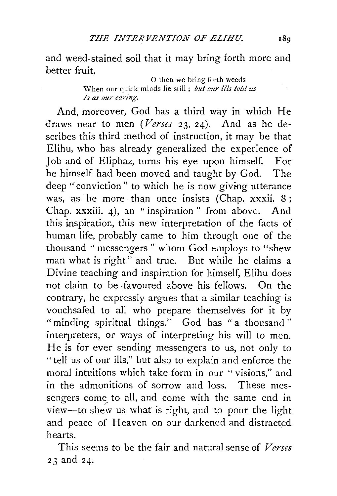and weed-stained soil that it may bring forth more and better fruit.

0 then we bring forth weeds \Vhen our quick minds lie still ; *but our ills told us Is as our earing.* 

And, moreover, God has a third way in which He draws near to men *(Verses* 23, 24). And as he describes this third method of instruction, it may be that Elihu, who has already generalized the experience of Job and of Eliphaz, turns his eye upon himself. For he himself had been moved and taught by God. The deep "conviction" to which he is now giving utterance was, as he more than once insists (Chap. xxxii. 8; Chap. xxxiii. 4), an "inspiration " from above. And this inspiration, this new interpretation of the facts of human life, probably came to him through one of the thousand "messengers" whom God employs to "shew man what is right" and true. But while he claims a Divine teaching and inspiration for himself, Elihu does not claim to be ifavoured above his fellows. On the contrary, he expressly argues that a similar teaching is vouchsafed to all who prepare themselves for it by "minding spiritual things." God has "a thousand" interpreters, or ways of interpreting his will to men. He is for ever sending messengers to us, not only to "tell us of our ills," but also to explain and enforce the moral intuitions which take form in our " visions," and in the admonitions of sorrow and loss. These messengers come to all, and come with the same end in view-to shew us what is right, and to pour the light and peace of Heaven on our darkened and distracted hearts.

This seems to be the fair and natural sense of *Verses*  23 and 24.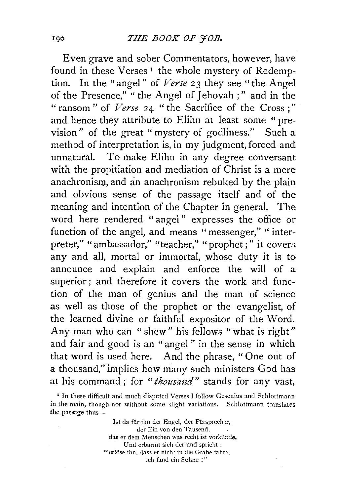Even grave and sober Commentators, however, have found in these Verses<sup>1</sup> the whole mystery of Redemption. In the "angel" of *Verse* 23 they see "the Angel of the Presence," " the Angel of Jehovah ; " and in the " ransom " of *Verse* 24 " the Sacrifice of the Cross ; " and hence they attribute to Elihu at least some " prevision" of the great "mystery of godliness." Such a method of interpretation is, in my judgment, forced and unnatural. To make Elihu in any degree conversant with the propitiation and mediation of Christ is a mere anachronism, and an anachronism rebuked by the plain and obvious sense of the passage itself and of the meaning and intention of the Chapter in general. The word here rendered "angel " expresses the office or function of the angel, and means "messenger," "interpreter," "ambassador," "teacher," "prophet;" it covers any and all, mortal or immortal, whose duty it is to announce and explain and enforce the will of a superior; and therefore it covers the work and function of the man of genius and the man of science as well as those of the prophet or the evangelist, of the learned divine or faithful expositor of the Word. Any man who can " shew" his fellows "what is right" and fair and good is an "angel " in the sense in which that word is used here. And the phrase, " One out of a thousand," implies how many such ministers God has at his command ; for *"thousand"* stands for any vast,

Ist da für ihn der Engel, der Fürsprecher, der Ein von den Tausend, das er dem Menschen was recht ist vorkünde. Und erbarmt sich der und spricht : "erlöse ihn, dass er nicht in die Grabe fahre, ich fand ein Sühne !"

<sup>&</sup>lt;sup>1</sup> In these difficult and much disputed Verses I follow Gesenius and Schlottmann in the main, though not without some slight variations. Schlottmann translates the passage thus-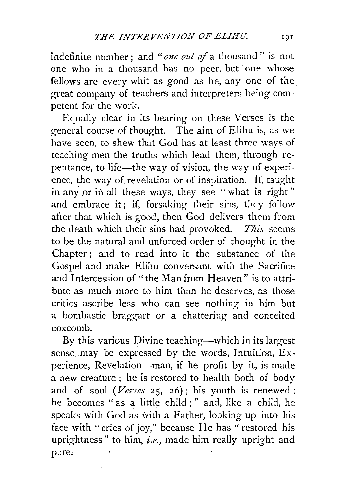indefinite number; and *"one out* of a thousand" is not one who in a thousand has no peer, but one whose fellows are every whit as good as he, any one of the great company of teachers and interpreters being competent for the work.

Equally clear in its bearing on these Verses is the general course of thought. The aim of Elihu is, as we have seen, to shew that God has at least three ways of teaching meh the truths which lead them, through repentance, to life-the way of vision, the way of experience, the way of revelation or of inspiration. If, taught in any or in all these ways, they see " what is right " and embrace it; if, forsaking their sins, they follow after that which is good, then God delivers them from the death which their sins had provoked. *This* seems to be the natural and unforced order of thought in the Chapter; and to read into it the substance of the Gospel and make Elihu conversant with the Sacrifice and Intercession of "the Man from Heaven" is to attribute as much more to him than he deserves, as those critics ascribe less who can see nothing in him but a bombastic braggart or a chattering and conceited coxcomb.

By this various Divine teaching—which in its largest sense. may be expressed by the words, Intuition, Experience, Revelation-man, if he profit by it, is made a new creature ; he is restored to health both of body and of soul  $(Verses 25, 26)$ ; his youth is renewed; he becomes " as a little child ; " and, like a child, he speaks with God as with a Father, looking up into his face with "cries of joy," because He has "restored his uprightness" to him, *i.e.,* made him really upright and pure.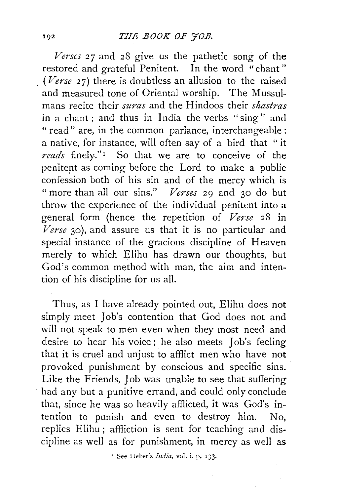Verses 27 and 28 give us the pathetic song of the restored and grateful Penitent. In the word "chant" *(Verse* 27) there is doubtless an allusion to the raised and measured tone of Oriental worship. The Mussulmans recite their *suras* and the Hindoos their *shastras*  in a chant; and thus in India the verbs "sing" and " read" are, in the common parlance, interchangeable: a native, for instance, will often say of a bird that " it *reads* finely." 1 So that we are to conceive of the penitent as coming before the Lord to make a public confession both of his sin and of the mercy which is "more than all our sins." *Verses* 29 and 30 do but throw the experience of the individual penitent into a general form (hence the repetition of *Verse* 28 in *Verse* 30), and assure us that it is no particular and special instance of the gracious discipline of Heaven merely to which Elihu has drawn our thoughts, but God's common method with man, the aim and intention of his discipline for us all.

Thus, as I have already pointed out, Elihn does not simply meet Job's contention that God does not and will not speak to men even when they most need and desire to hear his voice; he also meets Job's feeling that it is cruel and unjust to afflict men who have not provoked punishment by conscious and specific sins. Like the Friends, Job was unable to see that suffering had any but a punitive errand, and could only conclude that, since he was so heavily afflicted, it was God's intention to punish and even to destroy him. No, replies Elihu ; affliction is sent for teaching and discipline as well as for punishment, in mercy as well as

<sup>1</sup> See IIeber's *India*, vol. i. p. 133.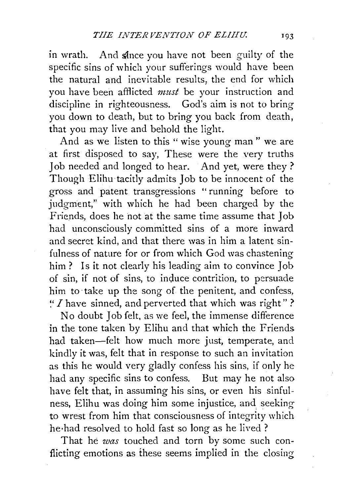in wrath. And since you have not been guilty of the specific sins of which your sufferings would have been the natural and inevitable results, the end for which you have been afflicted *must* be your instruction and discipline in righteousness. God's aim is not to bring you down to death, but to bring you back from death, that you may live and behold the light.

And as we listen to this " wise young man " we are at first disposed to say, These were the very truths Job needed and longed to hear. And yet, were they ? Though Elihu tacitly admits Job to be innocent of the gross and patent transgressions " running before to judgment," with which he had been charged by the Friends, does he not at the same time assume that Job had unconsciously committed sins of a more inward and secret kind, and that there was in him a latent sinfulness of nature for or from which God was chastening him? Is it not clearly his leading aim to convince Job of sin, if not of sins, to induce contrition, to persuade him to· take up the song of the penitent, and confess, *'.'I* have sinned, and perverted that which was right" ?

No doubt Job felt, as we feel, the immense difference in the tone taken by Elihu and that which the Friends had taken-felt how much more just, temperate, and kindly it was, felt that in response to such an invitation as this he would very gladly confess his sins, if only he had any specific sins to confess. But may he not also have felt that, in assuming his sins, or even his sinfulness, Elihu was doing him some injustice, and. seeking to wrest from him that consciousness of integrity which he·had resolved to hold fast so long as he lived?

That he *was* touched and torn by some such conflicting emotions as these seems implied in the closing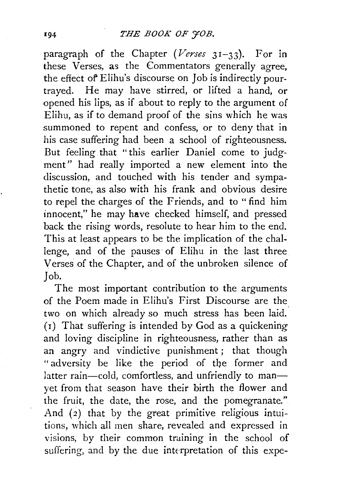paragraph of the Chapter *(Verses* 31-33). For in these Verses, as the Commentators generally agree, the effect of Elihu's discourse on Job is indirectly pourtrayed. He may have stirred, or lifted a hand, or opened his lips, as if about to reply to the argument of Elihu, as if to demand proof of the sins which he was summoned to repent and confess, or to deny that in his case suffering had been a school of righteousness. But feeling that "this earlier Daniel come to judgment" had really imported a new element into the discussion, and touched with his tender and sympathetic tone, as also with his frank and obvious desire to repel the charges of the Friends, and to " find him innocent," he may have checked himself, and pressed back the rising words, resolute to hear him to the end. This at least appears to be the implication of the challenge, and of the pauses of Elihu in the last three Verses of the Chapter, and of the unbroken silence of Job.

The most important contribution to the arguments of the Poem made in Elihu's First Discourse are the two on which already so much stress has been laid. (1) That suffering is intended by God as a quickening and loving discipline in righteousness, rather than as an angry and vindictive punishment; that though "adversity be like the period of the former and latter rain-cold, comfortless, and unfriendly to manyet from that season have their birth the flower and the fruit, the date, the rose, and the pomegranate." And  $(2)$  that by the great primitive religious intuitions, which all men share, revealed and expressed in visions, by their common training in the school of suffering, and by the due interpretation of this expe